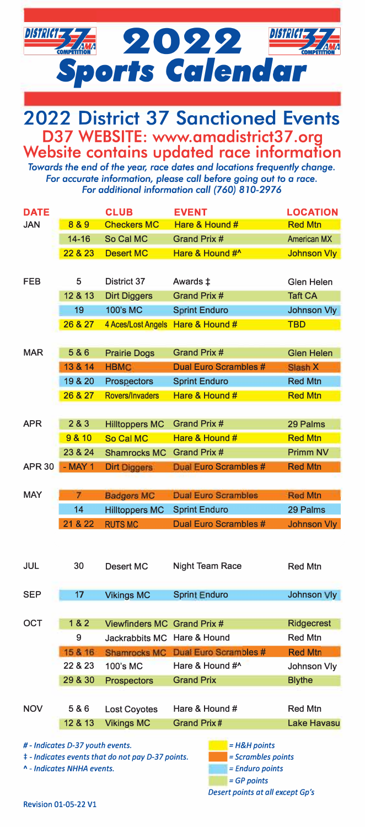



*Towards the end* **of** *the year, race dates and locations frequently change. For accurate information, please call before going* out *to a race. For additional information call (760) 810-2976* 

| <b>DATE</b>                                                                    |                | <b>CLUB</b>            | <b>EVENT</b>                     | <b>LOCATION</b>    |
|--------------------------------------------------------------------------------|----------------|------------------------|----------------------------------|--------------------|
| <b>JAN</b>                                                                     | 8&9            | <b>Checkers MC</b>     | Hare & Hound #                   | <b>Red Mtn</b>     |
|                                                                                | $14 - 16$      | So Cal MC              | Grand Prix #                     | <b>American MX</b> |
|                                                                                | 22 & 23        | <b>Desert MC</b>       | Hare & Hound #^                  | <b>Johnson Vly</b> |
|                                                                                |                |                        |                                  |                    |
| <b>FEB</b>                                                                     | 5              | District 37            | Awards ‡                         | Glen Helen         |
|                                                                                | 12 & 13        | <b>Dirt Diggers</b>    | Grand Prix #                     | <b>Taft CA</b>     |
|                                                                                | 19             | 100's MC               | <b>Sprint Enduro</b>             | <b>Johnson Vly</b> |
|                                                                                | 26 & 27        | 4 Aces/Lost Angels     | Hare & Hound #                   | <b>TBD</b>         |
|                                                                                |                |                        |                                  |                    |
| <b>MAR</b>                                                                     | 5&6            | <b>Prairie Dogs</b>    | Grand Prix #                     | <b>Glen Helen</b>  |
|                                                                                | 13 & 14        | <b>HBMC</b>            | <b>Dual Euro Scrambles #</b>     | Slash X            |
|                                                                                | 19 & 20        | Prospectors            | <b>Sprint Enduro</b>             | <b>Red Mtn</b>     |
|                                                                                | 26 & 27        | <b>Rovers/Invaders</b> | Hare & Hound #                   | <b>Red Mtn</b>     |
|                                                                                |                |                        |                                  |                    |
| <b>APR</b>                                                                     | 2 & 3          | <b>Hilltoppers MC</b>  | Grand Prix #                     | 29 Palms           |
|                                                                                | 9 & 10         | So Cal MC              | Hare & Hound #                   | <b>Red Mtn</b>     |
|                                                                                | 23 & 24        | <b>Shamrocks MC</b>    | Grand Prix #                     | <b>Primm NV</b>    |
| <b>APR 30</b>                                                                  | $-MAY$ 1       | <b>Dirt Diggers</b>    | <b>Dual Euro Scrambles #</b>     | <b>Red Mtn</b>     |
|                                                                                |                |                        |                                  |                    |
| MAY                                                                            | $\overline{7}$ | <b>Badgers MC</b>      | <b>Dual Euro Scrambles</b>       | <b>Red Mtn</b>     |
|                                                                                | 14             | <b>Hilltoppers MC</b>  | <b>Sprint Enduro</b>             | 29 Palms           |
|                                                                                | 21 & 22        | <b>RUTS MC</b>         | Dual Euro Scrambles #            | Johnson Vly        |
|                                                                                |                |                        |                                  |                    |
|                                                                                |                |                        |                                  |                    |
| JUL                                                                            | 30             | Desert MC              | Night Team Race                  | <b>Red Mtn</b>     |
|                                                                                |                |                        |                                  |                    |
| <b>SEP</b>                                                                     | 17             | <b>Vikings MC</b>      | <b>Sprint Enduro</b>             | Johnson Vly        |
|                                                                                |                |                        |                                  |                    |
| OCT                                                                            | 1&2            | <b>Viewfinders MC</b>  | Grand Prix #                     | <b>Ridgecrest</b>  |
|                                                                                | 9              | Jackrabbits MC         | Hare & Hound                     | <b>Red Mtn</b>     |
|                                                                                | 15 & 16        | <b>Shamrocks MC</b>    | <b>Dual Euro Scrambles #</b>     | <b>Red Mtn</b>     |
|                                                                                | 22 & 23        | 100's MC               | Hare & Hound #^                  | Johnson Vly        |
|                                                                                | 29 & 30        |                        | <b>Grand Prix</b>                | <b>Blythe</b>      |
|                                                                                |                | <b>Prospectors</b>     |                                  |                    |
|                                                                                |                |                        |                                  |                    |
| <b>NOV</b>                                                                     | 5&6            | <b>Lost Coyotes</b>    | Hare & Hound #                   | <b>Red Mtn</b>     |
|                                                                                | 12 & 13        | <b>Vikings MC</b>      | <b>Grand Prix#</b>               | <b>Lake Havasu</b> |
| # - Indicates D-37 youth events.<br>$=$ H&H points                             |                |                        |                                  |                    |
| <b>‡</b> - Indicates events that do not pay D-37 points.<br>= Scrambles points |                |                        |                                  |                    |
| ^ - Indicates NHHA events.<br>= Enduro points                                  |                |                        |                                  |                    |
| $=$ GP points                                                                  |                |                        |                                  |                    |
|                                                                                |                |                        | Desert points at all except Gp's |                    |